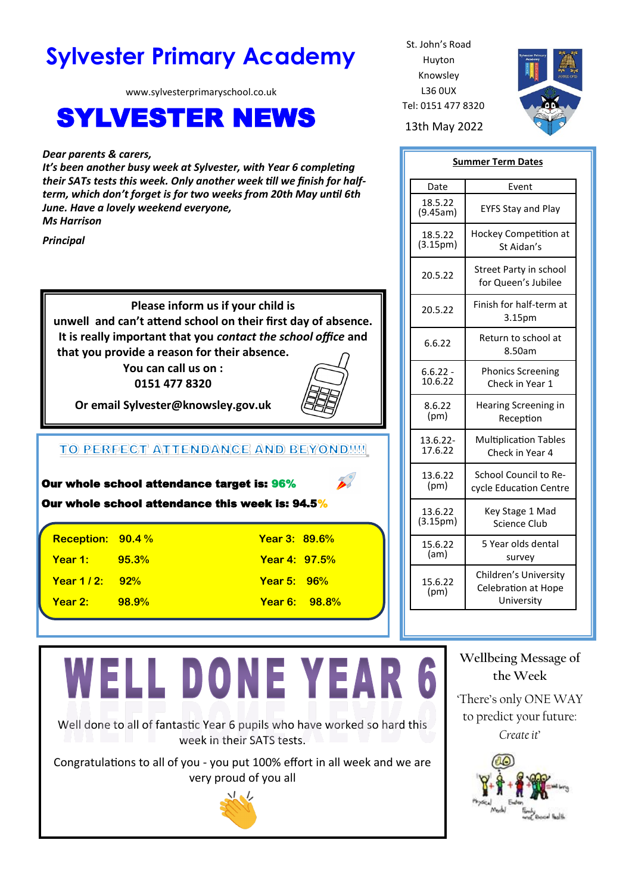# **Sylvester Primary Academy** St. John's Road

www.sylvesterprimaryschool.co.uk

# SYLVESTER NEWS 13th May 2022

*Dear parents & carers,* 

*It's been another busy week at Sylvester, with Year 6 completing their SATs tests this week. Only another week till we finish for halfterm, which don't forget is for two weeks from 20th May until 6th June. Have a lovely weekend everyone, Ms Harrison*

*Principal*

**Please inform us if your child is unwell and can't attend school on their first day of absence. It is really important that you** *contact the school office* **and that you provide a reason for their absence.**

**You can call us on : 0151 477 8320**



**Or email Sylvester@knowsley.gov.uk**

## TO PERFECT ATTENDANCE AND BEYONDE!

| Our whole school attendance target is: 96%<br>Our whole school attendance this week is: 94.5% |                   |                      |                      |  |
|-----------------------------------------------------------------------------------------------|-------------------|----------------------|----------------------|--|
|                                                                                               | Reception: 90.4 % | Year 3: 89.6%        |                      |  |
| Year 1:                                                                                       | 95.3%             | <b>Year 4: 97.5%</b> |                      |  |
| Year $1/2$ :                                                                                  | 92%               | Year 5: $96\%$       |                      |  |
| Year 2:                                                                                       | 98.9%             |                      | <b>Year 6:</b> 98.8% |  |

# **WELL DONE YEAR 6**

Well done to all of fantastic Year 6 pupils who have worked so hard this week in their SATS tests.

Congratulations to all of you - you put 100% effort in all week and we are very proud of you all



Huyton Knowsley L36 0UX Tel: 0151 477 8320



| <b>Summer Term Dates</b> |                                                                   |  |  |
|--------------------------|-------------------------------------------------------------------|--|--|
| Date                     | Event                                                             |  |  |
| 18.5.22<br>(9.45am)      | <b>EYFS Stay and Play</b>                                         |  |  |
| 18.5.22                  | Hockey Competition at                                             |  |  |
| (3.15 <sub>pm</sub> )    | St Aidan's                                                        |  |  |
| 20.5.22                  | Street Party in school<br>for Queen's Jubilee                     |  |  |
| 20.5.22                  | Finish for half-term at<br>3.15pm                                 |  |  |
| 6.6.22                   | Return to school at<br>8.50am                                     |  |  |
| $6.6.22 -$               | <b>Phonics Screening</b>                                          |  |  |
| 10.6.22                  | Check in Year 1                                                   |  |  |
| 8.6.22                   | Hearing Screening in                                              |  |  |
| (pm)                     | Reception                                                         |  |  |
| 13.6.22-                 | <b>Multiplication Tables</b>                                      |  |  |
| 17.6.22                  | Check in Year 4                                                   |  |  |
| 13.6.22                  | School Council to Re-                                             |  |  |
| (pm)                     | cycle Education Centre                                            |  |  |
| 13.6.22                  | Key Stage 1 Mad                                                   |  |  |
| (3.15pm)                 | <b>Science Club</b>                                               |  |  |
| 15.6.22                  | 5 Year olds dental                                                |  |  |
| (am)                     | survey                                                            |  |  |
| 15.6.22<br>(pm)          | Children's University<br><b>Celebration at Hope</b><br>University |  |  |

# **Wellbeing Message of the Week**

'There's only ONE WAY to predict your future: *Create it*'